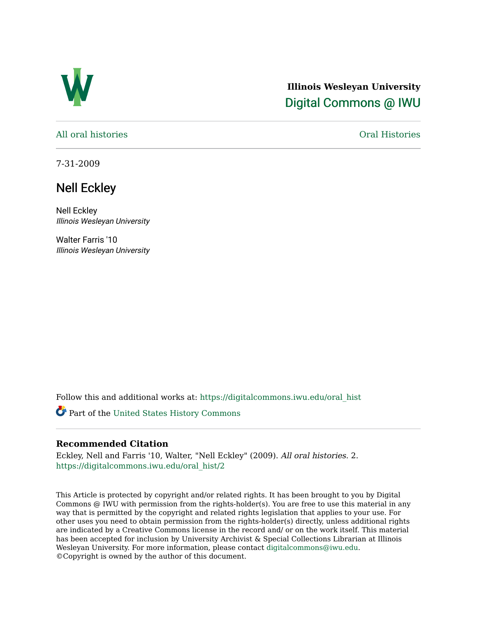

## **Illinois Wesleyan University**  [Digital Commons @ IWU](https://digitalcommons.iwu.edu/)

[All oral histories](https://digitalcommons.iwu.edu/oral_hist) [Oral Histories](https://digitalcommons.iwu.edu/oralhistory) 

7-31-2009

## Nell Eckley

Nell Eckley Illinois Wesleyan University

Walter Farris '10 Illinois Wesleyan University

Follow this and additional works at: [https://digitalcommons.iwu.edu/oral\\_hist](https://digitalcommons.iwu.edu/oral_hist?utm_source=digitalcommons.iwu.edu%2Foral_hist%2F2&utm_medium=PDF&utm_campaign=PDFCoverPages) 

Part of the [United States History Commons](http://network.bepress.com/hgg/discipline/495?utm_source=digitalcommons.iwu.edu%2Foral_hist%2F2&utm_medium=PDF&utm_campaign=PDFCoverPages) 

## **Recommended Citation**

Eckley, Nell and Farris '10, Walter, "Nell Eckley" (2009). All oral histories. 2. [https://digitalcommons.iwu.edu/oral\\_hist/2](https://digitalcommons.iwu.edu/oral_hist/2?utm_source=digitalcommons.iwu.edu%2Foral_hist%2F2&utm_medium=PDF&utm_campaign=PDFCoverPages) 

This Article is protected by copyright and/or related rights. It has been brought to you by Digital Commons @ IWU with permission from the rights-holder(s). You are free to use this material in any way that is permitted by the copyright and related rights legislation that applies to your use. For other uses you need to obtain permission from the rights-holder(s) directly, unless additional rights are indicated by a Creative Commons license in the record and/ or on the work itself. This material has been accepted for inclusion by University Archivist & Special Collections Librarian at Illinois Wesleyan University. For more information, please contact [digitalcommons@iwu.edu.](mailto:digitalcommons@iwu.edu) ©Copyright is owned by the author of this document.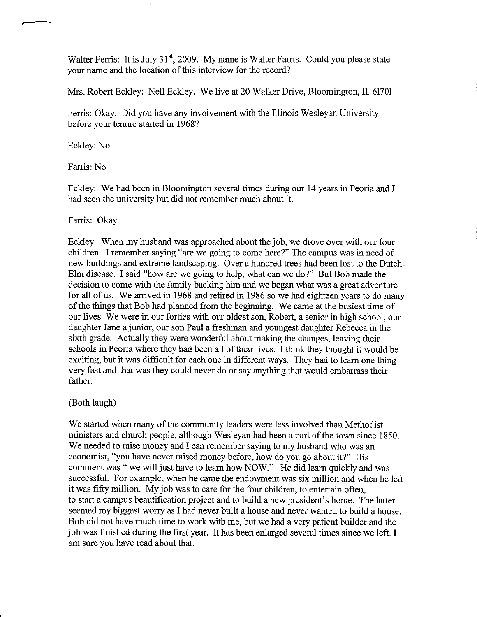Walter Ferris: It is July 31<sup>st</sup>, 2009. My name is Walter Farris. Could you please state your name and the location of this interview for the record?

Mrs. Robert Eckley: Nell Eckley. We live at 20 Walker Drive, Bloomington, 11. 61701

Ferris: Okay. Did you have any involvement with the Illinois Wesleyan University before your tenure started in 1968?

Eckley: No

Farris: No

Eckley: We had been in Bloomington several times during our 14 years in Peoria and I had seen the university but did not remember much about it.

Farris: Okay

Eckley: When my husband was approached about the job, we drove over with our four children. I remember saying "are we going to come here?" The campus was in need of new buildings and extreme landscaping. Over a hundred trees had been lost to the Dutch Elm disease. I said "how are we going to help, what can we do?" But Bob made the decision to come with the family backing him and we began what was a great adventure for all of us. We arrived in 1968 and retired in 1986 so we had eighteen years to do many of the things that Bob had planned from the beginning. We came at the busiest time of our lives. We were in our forties with our oldest son, Robert, a senior in high school, our daughter Jane a junior, our son Paul a freshman and youngest daughter Rebecca in the sixth grade. Actually they were wonderful about making the changes, leaving their schools in Peoria where they had been all of their lives. I think they thought it would be exciting, but it was difficult for each one in different ways. They had to learn one thing very fast and that was they could never do or say anything that would embarrass their father.

(Both laugh)

We started when many of the community leaders were less involved than Methodist ministers and church people, although Wesleyan had been a part of the town since 1850. We needed to raise money and I can remember saying to my husband who was an economist, "you have never raised money before, how do you go about it?" His comment was " we will just have to learn how NOW." He did learn quickly and was successful. For example, when he came the endowment was six million and when he left it was fifty million. My job was to care for the four children, to entertain often, to start a campus beautification project and to build a new president's home. The latter seemed my biggest wony as I had never built a house and never wanted to build a house. Bob did not have much time to work with me, but we had a very patient builder and the job was finished during the first year. It has been enlarged several times since we left. I am sure you have read about that.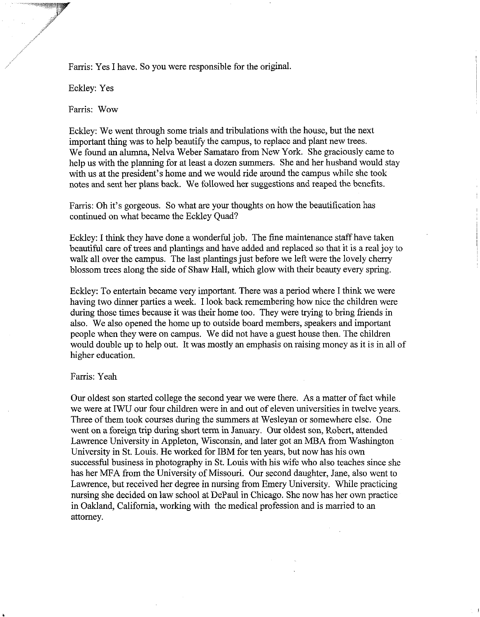Farris: Yes I have. So you were responsible for the original.

Eckley: Yes

Farris: Wow

Eckley: We went through some trials and tribulations with the house, but the next important thing was to help beautify the campus, to replace and plant new trees. We found an alumna, Nelva Weber Samataro from New York. She graciously came to help us with the planning for at least a dozen summers. She and her husband would stay with us at the president's home and we would ride around the campus while she took notes and sent her plans back. We followed her suggestions and reaped the benefits.

Farris: Oh it's gorgeous. So what are your thoughts on how the beautification has continued on what became the Eckley Quad?

Eckley: I think they have done a wonderful job. The fine maintenance staff have taken beautiful care of trees and plantings and have added and replaced so that it is a real joy to walk all over the campus. The last plantings just before we left were the lovely cherry blossom trees along the side of Shaw Hall, which glow with their beauty every spring.

Eckley: To entertain became very important. There was a period where I think we were having two dinner parties a week. I look back remembering how nice the children were during those times because it was their home too. They were trying to bring friends in also. We also opened the home up to outside board members, speakers and important people when they were on campus. We did not have a guest house then. The children would double up to help out. It was mostly an emphasis on raising money as it is in all of higher education.

## Farris: Yeah

Our oldest son started college the second year we were there. As a matter of fact while we were at IWU our four children were in and out of eleven universities in twelve years. Three of them took courses during the summers at Wesleyan or somewhere else. One went on a foreign trip during short term in January. Our oldest son, Robert, attended Lawrence University in Appleton, Wisconsin, and later got an MBA from Washington University in St. Louis. He worked for IBM for ten years, but now has his own successful business in photography in St. Louis with his wife who also teaches since she has her MFA from the University of Missouri. Our second daughter, Jane, also went to Lawrence, but received her degree in nursing fiom Emery University. While practicing nursing she decided on law school at DePaul in Chicago. She now has her own practice in Oakland, California, working with the medical profession and is married to an attorney.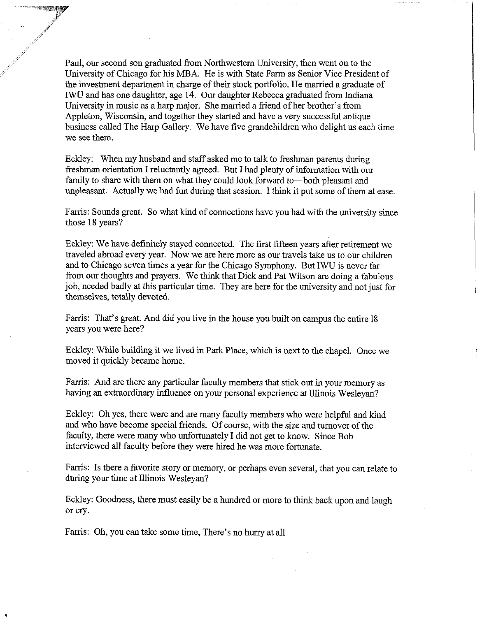Paul, our second son graduated fiom Northwestern University, then went on to the University of Chicago for his MBA. He is with State Farm as Senior Vice President of the investment department in charge of their stock portfolio. He married a graduate of IWU and has one daughter, age 14. Our daughter Rebecca graduated from Indiana University in music as a harp major. She married a fiend of her brother's from Appleton, Wisconsin, and together they started and have a very successful antique business called The Harp Gallery. We have five grandchildren who delight us each time we see them.

Eckley: When my husband and staff asked me to talk to freshman parents during freshman orientation I reluctantly agreed. But I had plenty of information with our family to share with them on what they could look forward to-both pleasant and unpleasant. Actually we had fun during that session. I think it put some of them at ease.

Farris: Sounds great. So what kind of connections have you had with the university since those 18 years?

Eckley: We have definitely stayed connected. The first fifteen years after retirement we traveled abroad every year. Now we are here more as our travels take us to our children and to Chicago seven times a year for the Chicago Symphony. But IWU is never far from our thoughts and prayers. We think that Dick and Pat Wilson are doing a fabulous job, needed badly at this particular time. They are here for the university and not just for themselves, totally devoted.

Farris: That's great. And did you live in the house you built on campus the entire 18 years you were here?

Eckley: While building it we lived in Park Place, which is next to the chapel. Once we moved it quickly became home.

Farris: And are there any particular faculty members that stick out in your memory as having an extraordinary influence on your personal experience at Illinois Wesleyan?

Eckley: Oh yes, there were and are many faculty members who were helpful and kind and who have become special friends. Of course, with the size and turnover of the faculty, there were many who unfortunately I did not get to know. Since Bob interviewed all faculty before they were hired he was more fortunate.

Farris: Is there a favorite story or memory, or perhaps even several, that you can relate to during your time at Illinois Wesleyan?

Eckley: Goodness, there must easily be a hundred or more to think back upon and laugh or cry.

Farris: Oh, you can take some time, There's no hurry at all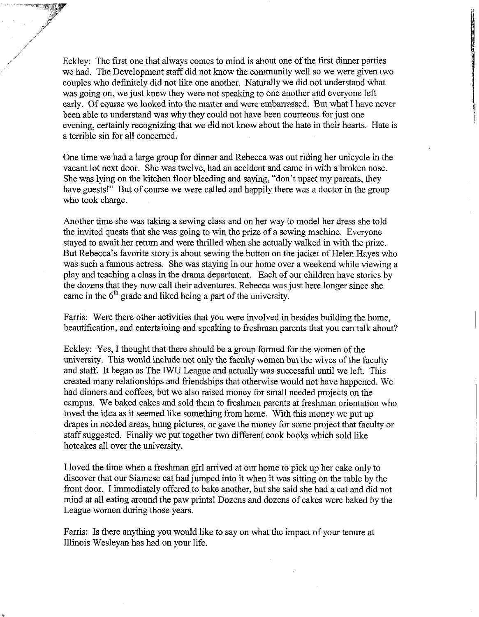Eckley: The first one that always comes to mind is about one of the first dinner parties we had. The Development staff did not know the community well so we were given two couples who definitely did not like one another. Naturally we did not understand what was going on, we just knew they were not speaking to one another and everyone left early. Of course we looked into the mattcr and were embarrassed. But what I have never been able to understand was why they could not have been courteous for just one evening, certainly recognizing that we did not know about the hate in their hearts. Hate is a terrible sin for all concerned.

One time we had a large group for dinner and Rebecca was out riding her unicycle in the vacant lot next door. She was twelve, had an accident and came in with a broken nose. She was lying on the kitchen floor bleeding and saying, "don't upset my parents, they have guests!" But of course we were called and happily there was a doctor in the group who took charge.

Another time she was taking a sewing class and on her way to model her dress she told the invited quests that she was going to win the prize of a sewing machine. Everyone stayed to await her return and were thrilled when she actually walked in with the prize. But Rebecca's favorite story is about sewing the button on the jacket of Helen Hayes who was such a famous actress. She was staying in our home over a weekend while viewing a play and teaching a class in the drama department. Each of our children have stories by the dozens that they now call their adventures. Rebecca was just here longer since she came in the **6th** grade and liked being a part of the university.

Farris: Were there other activities that you were involved in besides building the home, beautification, and entertaining and speaking to freshman parents that you can talk about?

Eckley: Yes, I thought that there should be a group formed for the women of the university. This would include not only the faculty women but the wives of the faculty and staff. It began as The IWU League and actually was successful until we left. This created many relationships and friendships that otherwise would not have happened. We had dinners and coffees, but we also raised money for small needed projects on the campus. We baked cakes and sold them to freshmen parents at freshman orientation who loved the idea as it seemed like something from home. With this money we put up drapes in needed areas, hung pictures, or gave the money for some project that faculty or staff suggested. Finally we put together two different cook books which sold like hotcakes all over the university.

I loved the time when a freshman girl arrived at our home to pick up her cake only to discover that our Siamese cat had jumped into it when it was sitting on the table by the front door. I immediately offered to bake another, but she said she had a cat and did not mind at all eating around the paw prints! Dozens and dozens of cakes were baked by the League women during those years.

Farris: Is there anything you would like to say on what the impact of your tenure at Illinois Wesleyan has had on your life.